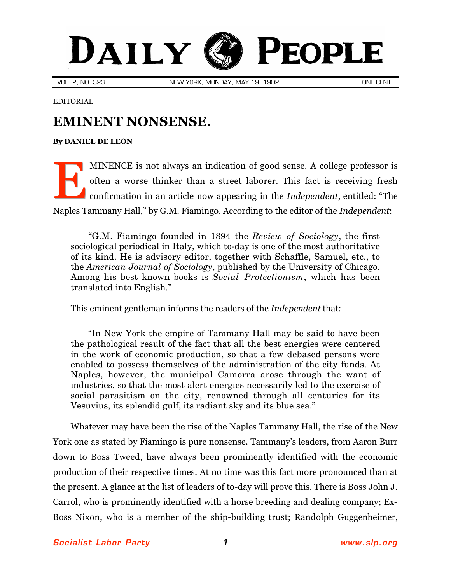## DAILY PEOPLE

VOL. 2, NO. 323. NEW YORK, MONDAY, MAY 19, 1902. ONE CENT.

EDITORIAL

## **EMINENT NONSENSE.**

## **By [DANIEL DE LEON](http://slp.org/De_Leon.htm)**

MINENCE is not always an indication of good sense. A college professor is often a worse thinker than a street laborer. This fact is receiving fresh confirmation in an article now appearing in the *Independent*, entitled: "The Naples Tammany Hall," by G.M. Fiamingo. According to the editor of the *Independent*: E

"G.M. Fiamingo founded in 1894 the *Review of Sociology*, the first sociological periodical in Italy, which to-day is one of the most authoritative of its kind. He is advisory editor, together with Schaffle, Samuel, etc., to the *American Journal of Sociology*, published by the University of Chicago. Among his best known books is *Social Protectionism*, which has been translated into English."

This eminent gentleman informs the readers of the *Independent* that:

"In New York the empire of Tammany Hall may be said to have been the pathological result of the fact that all the best energies were centered in the work of economic production, so that a few debased persons were enabled to possess themselves of the administration of the city funds. At Naples, however, the municipal Camorra arose through the want of industries, so that the most alert energies necessarily led to the exercise of social parasitism on the city, renowned through all centuries for its Vesuvius, its splendid gulf, its radiant sky and its blue sea."

Whatever may have been the rise of the Naples Tammany Hall, the rise of the New York one as stated by Fiamingo is pure nonsense. Tammany's leaders, from Aaron Burr down to Boss Tweed, have always been prominently identified with the economic production of their respective times. At no time was this fact more pronounced than at the present. A glance at the list of leaders of to-day will prove this. There is Boss John J. Carrol, who is prominently identified with a horse breeding and dealing company; Ex-Boss Nixon, who is a member of the ship-building trust; Randolph Guggenheimer,